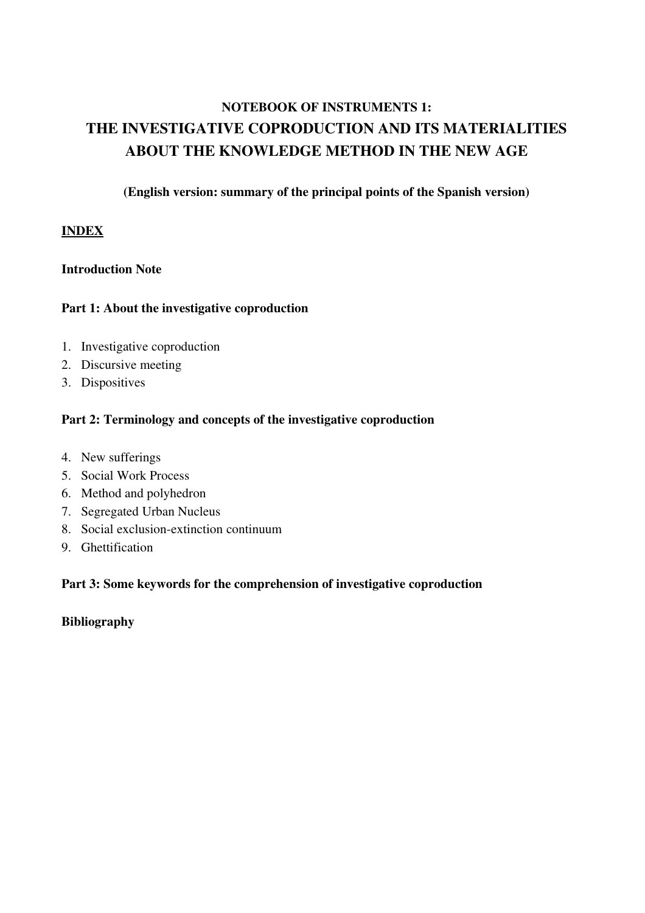# NOTEBOOK OF INSTRUMENTS 1: THE INVESTIGATIVE COPRODUCTION AND ITS MATERIALITIES ABOUT THE KNOWLEDGE METHOD IN THE NEW AGE

(English version: summary of the principal points of the Spanish version)

# INDEX

# Introduction Note

# Part 1: About the investigative coproduction

- 1. Investigative coproduction
- 2. Discursive meeting
- 3. Dispositives

# Part 2: Terminology and concepts of the investigative coproduction

- 4. New sufferings
- 5. Social Work Process
- 6. Method and polyhedron
- 7. Segregated Urban Nucleus
- 8. Social exclusion-extinction continuum
- 9. Ghettification

#### Part 3: Some keywords for the comprehension of investigative coproduction

Bibliography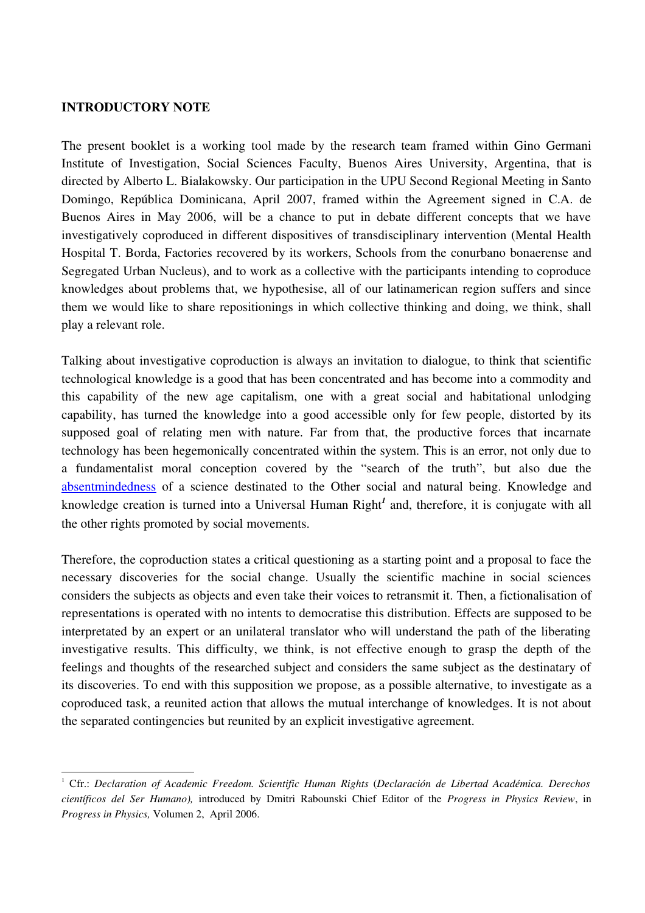### INTRODUCTORY NOTE

The present booklet is a working tool made by the research team framed within Gino Germani Institute of Investigation, Social Sciences Faculty, Buenos Aires University, Argentina, that is directed by Alberto L. Bialakowsky. Our participation in the UPU Second Regional Meeting in Santo Domingo, República Dominicana, April 2007, framed within the Agreement signed in C.A. de Buenos Aires in May 2006, will be a chance to put in debate different concepts that we have investigatively coproduced in different dispositives of transdisciplinary intervention (Mental Health Hospital T. Borda, Factories recovered by its workers, Schools from the conurbano bonaerense and Segregated Urban Nucleus), and to work as a collective with the participants intending to coproduce knowledges about problems that, we hypothesise, all of our latinamerican region suffers and since them we would like to share repositionings in which collective thinking and doing, we think, shall play a relevant role.

Talking about investigative coproduction is always an invitation to dialogue, to think that scientific technological knowledge is a good that has been concentrated and has become into a commodity and this capability of the new age capitalism, one with a great social and habitational unlodging capability, has turned the knowledge into a good accessible only for few people, distorted by its supposed goal of relating men with nature. Far from that, the productive forces that incarnate technology has been hegemonically concentrated within the system. This is an error, not only due to a fundamentalist moral conception covered by the "search of the truth", but also due the [absentmindedness](http://www.diccionarios.com/consultas.php)  of a science destinated to the Other social and natural being. Knowledge and knowledge creation is turned into a Universal Human Right<sup>[1](#page-1-0)</sup> and, therefore, it is conjugate with all the other rights promoted by social movements.

Therefore, the coproduction states a critical questioning as a starting point and a proposal to face the necessary discoveries for the social change. Usually the scientific machine in social sciences considers the subjects as objects and even take their voices to retransmit it. Then, a fictionalisation of representations is operated with no intents to democratise this distribution. Effects are supposed to be interpretated by an expert or an unilateral translator who will understand the path of the liberating investigative results. This difficulty, we think, is not effective enough to grasp the depth of the feelings and thoughts of the researched subject and considers the same subject as the destinatary of its discoveries. To end with this supposition we propose, as a possible alternative, to investigate as a coproduced task, a reunited action that allows the mutual interchange of knowledges. It is not about the separated contingencies but reunited by an explicit investigative agreement.

<span id="page-1-0"></span><sup>&</sup>lt;sup>1</sup> Cfr.: Declaration of Academic Freedom. Scientific Human Rights (Declaración de Libertad Académica. Derechos *científicos del Ser Humano),* introduced by Dmitri Rabounski Chief Editor of the *Progress in Physics Review*, in *Progress in Physics,* Volumen 2, April 2006.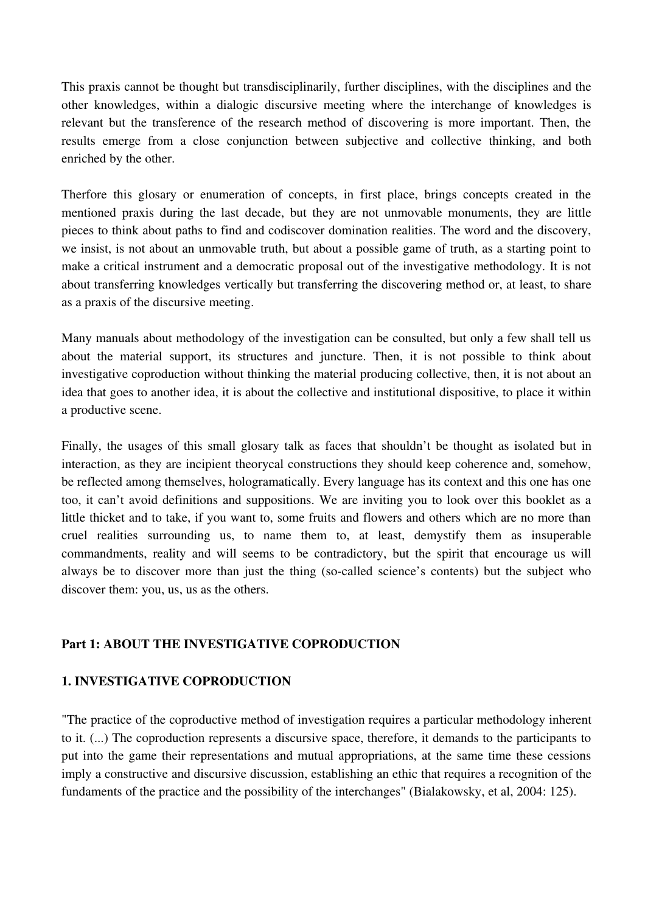This praxis cannot be thought but transdisciplinarily, further disciplines, with the disciplines and the other knowledges, within a dialogic discursive meeting where the interchange of knowledges is relevant but the transference of the research method of discovering is more important. Then, the results emerge from a close conjunction between subjective and collective thinking, and both enriched by the other.

Therfore this glosary or enumeration of concepts, in first place, brings concepts created in the mentioned praxis during the last decade, but they are not unmovable monuments, they are little pieces to think about paths to find and codiscover domination realities. The word and the discovery, we insist, is not about an unmovable truth, but about a possible game of truth, as a starting point to make a critical instrument and a democratic proposal out of the investigative methodology. It is not about transferring knowledges vertically but transferring the discovering method or, at least, to share as a praxis of the discursive meeting.

Many manuals about methodology of the investigation can be consulted, but only a few shall tell us about the material support, its structures and iuncture. Then, it is not possible to think about investigative coproduction without thinking the material producing collective, then, it is not about an idea that goes to another idea, it is about the collective and institutional dispositive, to place it within a productive scene.

Finally, the usages of this small glosary talk as faces that shouldn't be thought as isolated but in interaction, as they are incipient theorycal constructions they should keep coherence and, somehow, be reflected among themselves, hologramatically. Every language has its context and this one has one too, it can't avoid definitions and suppositions. We are inviting you to look over this booklet as a little thicket and to take, if you want to, some fruits and flowers and others which are no more than cruel realities surrounding us, to name them to, at least, demystify them as insuperable commandments, reality and will seems to be contradictory, but the spirit that encourage us will always be to discover more than just the thing (so-called science's contents) but the subject who discover them: you, us, us as the others.

# Part 1: ABOUT THE INVESTIGATIVE COPRODUCTION

# 1. INVESTIGATIVE COPRODUCTION

"The practice of the coproductive method of investigation requires a particular methodology inherent to it. (...) The coproduction represents a discursive space, therefore, it demands to the participants to put into the game their representations and mutual appropriations, at the same time these cessions imply a constructive and discursive discussion, establishing an ethic that requires a recognition of the fundaments of the practice and the possibility of the interchanges" (Bialakowsky, et al, 2004: 125).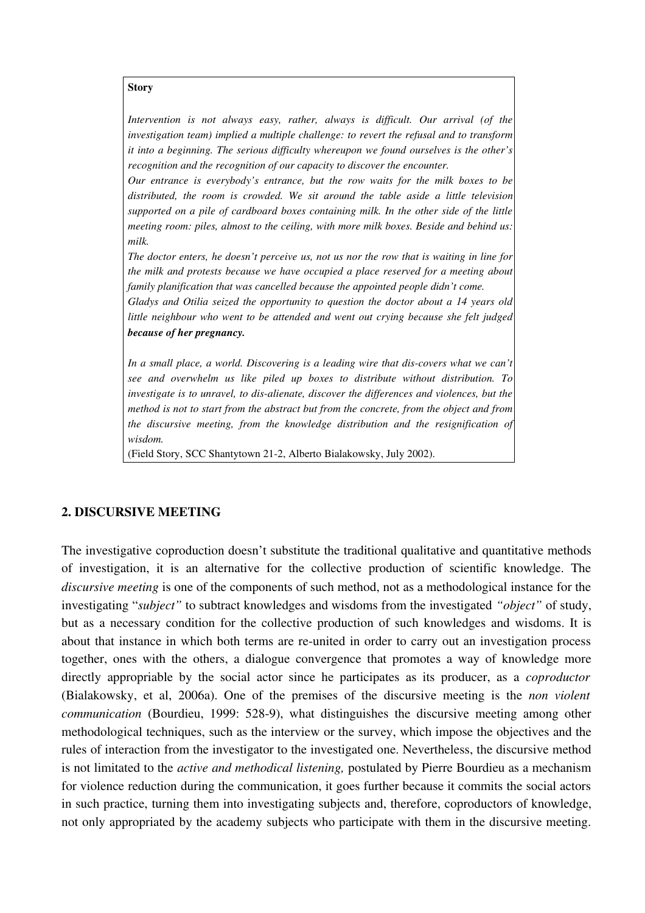**Story** 

*Intervention is not always easy, rather, always is difficult. Our arrival (of the investigation team) implied a multiple challenge: to revert the refusal and to transform it into a beginning. The serious difficulty whereupon we found ourselves is the other's recognition and the recognition of our capacity to discover the encounter.*

*Our entrance is everybody's entrance, but the row waits for the milk boxes to be distributed, the room is crowded. We sit around the table aside a little television supported on a pile of cardboard boxes containing milk. In the other side of the little meeting room: piles, almost to the ceiling, with more milk boxes. Beside and behind us: milk.*

*The doctor enters, he doesn't perceive us, not us nor the row that is waiting in line for the milk and protests because we have occupied a place reserved for a meeting about family planification that was cancelled because the appointed people didn't come.*

*Gladys and Otilia seized the opportunity to question the doctor about a 14 years old little neighbour who went to be attended and went out crying because she felt judged because of her pregnancy.*

In a small place, a world. Discovering is a leading wire that dis-covers what we can't *see and overwhelm us like piled up boxes to distribute without distribution. To investigate is to unravel, to dis-alienate, discover the differences and violences, but the method is not to start from the abstract but from the concrete, from the object and from the discursive meeting, from the knowledge distribution and the resignification of wisdom.*

(Field Story, SCC Shantytown 212, Alberto Bialakowsky, July 2002).

#### 2. DISCURSIVE MEETING

The investigative coproduction doesn't substitute the traditional qualitative and quantitative methods of investigation, it is an alternative for the collective production of scientific knowledge. The *discursive meeting* is one of the components of such method, not as a methodological instance for the investigating "*subject"* to subtract knowledges and wisdoms from the investigated *"object"* of study, but as a necessary condition for the collective production of such knowledges and wisdoms. It is about that instance in which both terms are re-united in order to carry out an investigation process together, ones with the others, a dialogue convergence that promotes a way of knowledge more directly appropriable by the social actor since he participates as its producer, as a *coproductor* (Bialakowsky, et al, 2006a). One of the premises of the discursive meeting is the *non violent communication* (Bourdieu, 1999: 528-9), what distinguishes the discursive meeting among other methodological techniques, such as the interview or the survey, which impose the objectives and the rules of interaction from the investigator to the investigated one. Nevertheless, the discursive method is not limitated to the *active and methodical listening,* postulated by Pierre Bourdieu as a mechanism for violence reduction during the communication, it goes further because it commits the social actors in such practice, turning them into investigating subjects and, therefore, coproductors of knowledge, not only appropriated by the academy subjects who participate with them in the discursive meeting.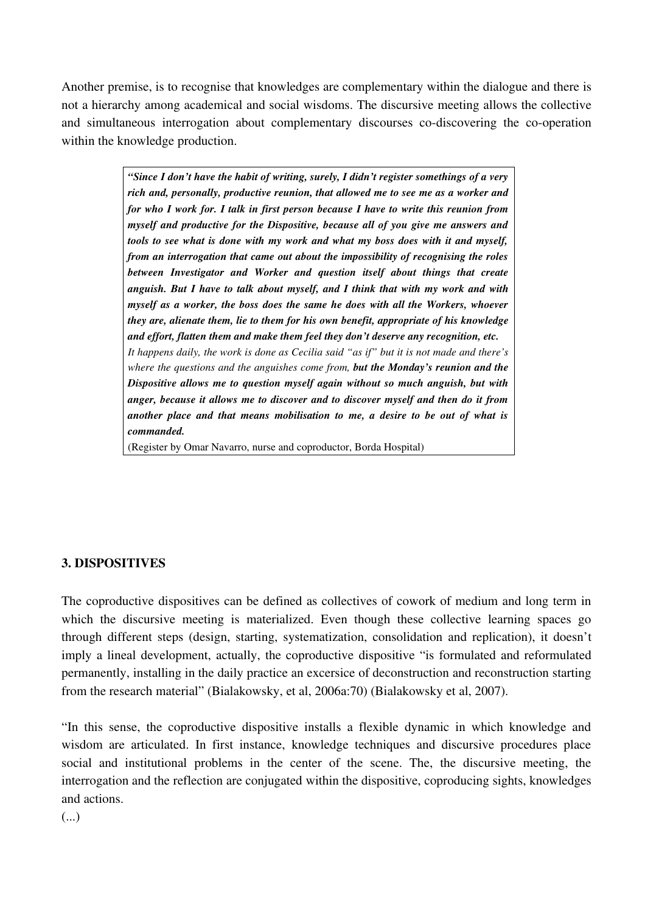Another premise, is to recognise that knowledges are complementary within the dialogue and there is not a hierarchy among academical and social wisdoms. The discursive meeting allows the collective and simultaneous interrogation about complementary discourses co-discovering the co-operation within the knowledge production.

> *"Since I don't have the habit of writing, surely, I didn't register somethings of a very rich and, personally, productive reunion, that allowed me to see me as a worker and for who I work for. I talk in first person because I have to write this reunion from myself and productive for the Dispositive, because all of you give me answers and tools to see what is done with my work and what my boss does with it and myself, from an interrogation that came out about the impossibility of recognising the roles between Investigator and Worker and question itself about things that create anguish. But I have to talk about myself, and I think that with my work and with myself as a worker, the boss does the same he does with all the Workers, whoever they are, alienate them, lie to them for his own benefit, appropriate of his knowledge and effort, flatten them and make them feel they don't deserve any recognition, etc. It happens daily, the work is done as Cecilia said "as if" but it is not made and there's where the questions and the anguishes come from, but the Monday's reunion and the Dispositive allows me to question myself again without so much anguish, but with anger, because it allows me to discover and to discover myself and then do it from another place and that means mobilisation to me, a desire to be out of what is commanded.*

(Register by Omar Navarro, nurse and coproductor, Borda Hospital)

#### 3. DISPOSITIVES

The coproductive dispositives can be defined as collectives of cowork of medium and long term in which the discursive meeting is materialized. Even though these collective learning spaces go through different steps (design, starting, systematization, consolidation and replication), it doesn't imply a lineal development, actually, the coproductive dispositive "is formulated and reformulated permanently, installing in the daily practice an excersice of deconstruction and reconstruction starting from the research material" (Bialakowsky, et al, 2006a:70) (Bialakowsky et al, 2007).

"In this sense, the coproductive dispositive installs a flexible dynamic in which knowledge and wisdom are articulated. In first instance, knowledge techniques and discursive procedures place social and institutional problems in the center of the scene. The, the discursive meeting, the interrogation and the reflection are conjugated within the dispositive, coproducing sights, knowledges and actions.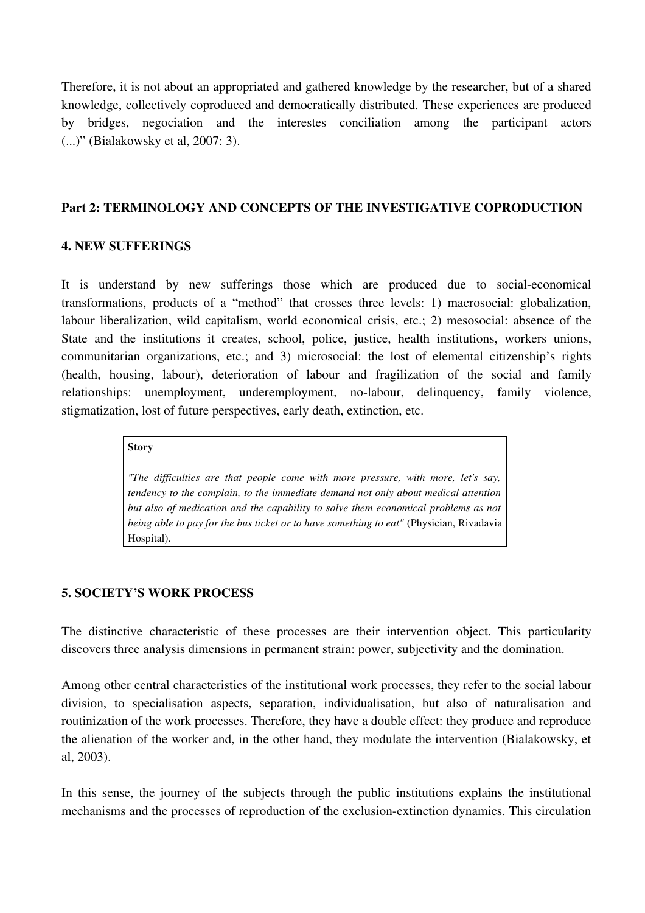Therefore, it is not about an appropriated and gathered knowledge by the researcher, but of a shared knowledge, collectively coproduced and democratically distributed. These experiences are produced by bridges, negociation and the interestes conciliation among the participant actors (...)" (Bialakowsky et al, 2007: 3).

### Part 2: TERMINOLOGY AND CONCEPTS OF THE INVESTIGATIVE COPRODUCTION

#### 4. NEW SUFFERINGS

It is understand by new sufferings those which are produced due to social-economical transformations, products of a "method" that crosses three levels: 1) macrosocial: globalization, labour liberalization, wild capitalism, world economical crisis, etc.; 2) mesosocial: absence of the State and the institutions it creates, school, police, justice, health institutions, workers unions, communitarian organizations, etc.; and 3) microsocial: the lost of elemental citizenship's rights (health, housing, labour), deterioration of labour and fragilization of the social and family relationships: unemployment, underemployment, no-labour, delinquency, family violence, stigmatization, lost of future perspectives, early death, extinction, etc.

#### **Story**

*"The difficulties are that people come with more pressure, with more, let's say, tendency to the complain, to the immediate demand not only about medical attention but also of medication and the capability to solve them economical problems as not being able to pay for the bus ticket or to have something to eat"* (Physician, Rivadavia Hospital).

# 5. SOCIETY'S WORK PROCESS

The distinctive characteristic of these processes are their intervention object. This particularity discovers three analysis dimensions in permanent strain: power, subjectivity and the domination.

Among other central characteristics of the institutional work processes, they refer to the social labour division, to specialisation aspects, separation, individualisation, but also of naturalisation and routinization of the work processes. Therefore, they have a double effect: they produce and reproduce the alienation of the worker and, in the other hand, they modulate the intervention (Bialakowsky, et al, 2003).

In this sense, the journey of the subjects through the public institutions explains the institutional mechanisms and the processes of reproduction of the exclusion-extinction dynamics. This circulation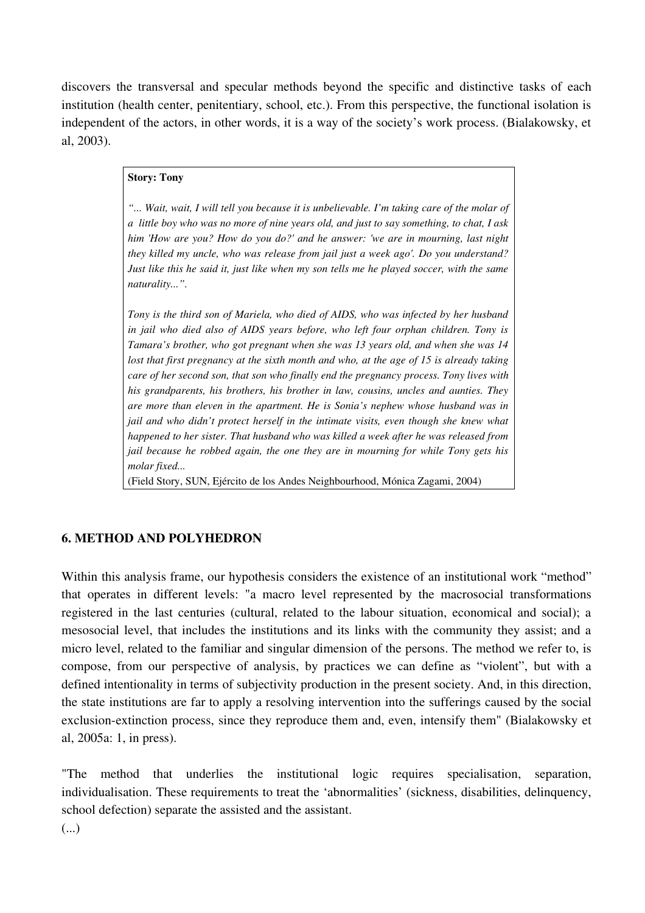discovers the transversal and specular methods beyond the specific and distinctive tasks of each institution (health center, penitentiary, school, etc.). From this perspective, the functional isolation is independent of the actors, in other words, it is a way of the society's work process. (Bialakowsky, et al, 2003).

#### Story: Tony

*"... Wait, wait, I will tell you because it is unbelievable. I'm taking care of the molar of a little boy who was no more of nine years old, and just to say something, to chat, I ask him 'How are you? How do you do?' and he answer: 'we are in mourning, last night they killed my uncle, who was release from jail just a week ago'. Do you understand? Just like this he said it, just like when my son tells me he played soccer, with the same naturality...".*

*Tony is the third son of Mariela, who died of AIDS, who was infected by her husband in jail who died also of AIDS years before, who left four orphan children. Tony is Tamara's brother, who got pregnant when she was 13 years old, and when she was 14 lost that first pregnancy at the sixth month and who, at the age of 15 is already taking care of her second son, that son who finally end the pregnancy process. Tony lives with his grandparents, his brothers, his brother in law, cousins, uncles and aunties. They are more than eleven in the apartment. He is Sonia's nephew whose husband was in jail and who didn't protect herself in the intimate visits, even though she knew what happened to her sister. That husband who was killed a week after he was released from jail because he robbed again, the one they are in mourning for while Tony gets his molar fixed...*

(Field Story, SUN, Ejército de los Andes Neighbourhood, Mónica Zagami, 2004)

#### 6. METHOD AND POLYHEDRON

Within this analysis frame, our hypothesis considers the existence of an institutional work "method" that operates in different levels: "a macro level represented by the macrosocial transformations registered in the last centuries (cultural, related to the labour situation, economical and social); a mesosocial level, that includes the institutions and its links with the community they assist; and a micro level, related to the familiar and singular dimension of the persons. The method we refer to, is compose, from our perspective of analysis, by practices we can define as "violent", but with a defined intentionality in terms of subjectivity production in the present society. And, in this direction, the state institutions are far to apply a resolving intervention into the sufferings caused by the social exclusion-extinction process, since they reproduce them and, even, intensify them" (Bialakowsky et al, 2005a: 1, in press).

"The method that underlies the institutional logic requires specialisation, separation, individualisation. These requirements to treat the 'abnormalities' (sickness, disabilities, delinquency, school defection) separate the assisted and the assistant.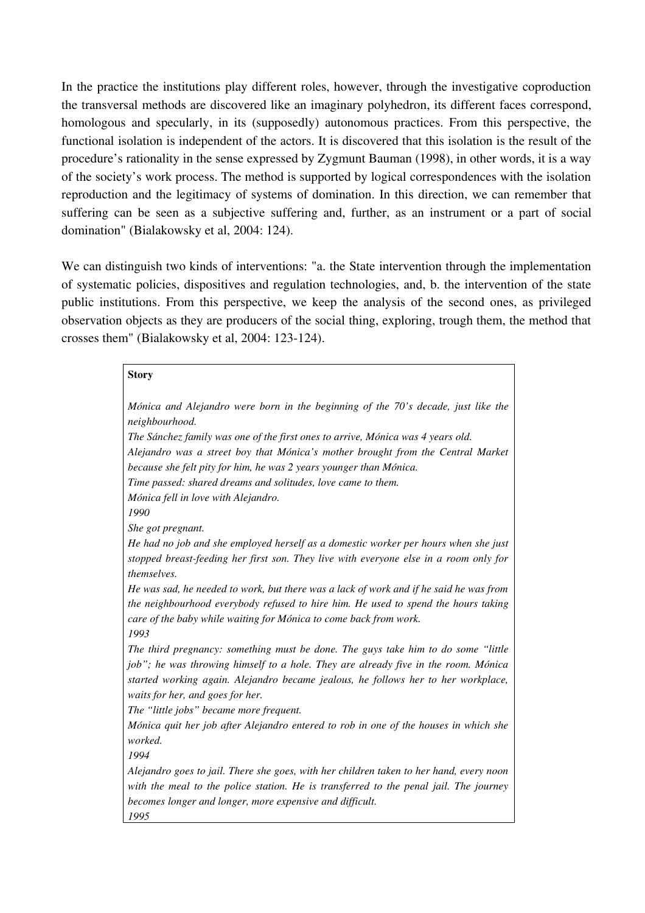In the practice the institutions play different roles, however, through the investigative coproduction the transversal methods are discovered like an imaginary polyhedron, its different faces correspond, homologous and specularly, in its (supposedly) autonomous practices. From this perspective, the functional isolation is independent of the actors. It is discovered that this isolation is the result of the procedure's rationality in the sense expressed by Zygmunt Bauman (1998), in other words, it is a way of the society's work process. The method is supported by logical correspondences with the isolation reproduction and the legitimacy of systems of domination. In this direction, we can remember that suffering can be seen as a subjective suffering and, further, as an instrument or a part of social domination" (Bialakowsky et al, 2004: 124).

We can distinguish two kinds of interventions: "a. the State intervention through the implementation of systematic policies, dispositives and regulation technologies, and, b. the intervention of the state public institutions. From this perspective, we keep the analysis of the second ones, as privileged observation objects as they are producers of the social thing, exploring, trough them, the method that crosses them" (Bialakowsky et al,  $2004$ : 123-124).

#### Story

| Mónica and Alejandro were born in the beginning of the 70's decade, just like the<br>neighbourhood.                                                                                                                                                                                              |
|--------------------------------------------------------------------------------------------------------------------------------------------------------------------------------------------------------------------------------------------------------------------------------------------------|
| The Sánchez family was one of the first ones to arrive, Mónica was 4 years old.                                                                                                                                                                                                                  |
| Alejandro was a street boy that Mónica's mother brought from the Central Market<br>because she felt pity for him, he was 2 years younger than Mónica.                                                                                                                                            |
| Time passed: shared dreams and solitudes, love came to them.                                                                                                                                                                                                                                     |
| Mónica fell in love with Alejandro.<br>1990                                                                                                                                                                                                                                                      |
| She got pregnant.                                                                                                                                                                                                                                                                                |
| He had no job and she employed herself as a domestic worker per hours when she just<br>stopped breast-feeding her first son. They live with everyone else in a room only for<br>themselves.                                                                                                      |
| He was sad, he needed to work, but there was a lack of work and if he said he was from<br>the neighbourhood everybody refused to hire him. He used to spend the hours taking<br>care of the baby while waiting for Mónica to come back from work.<br>1993                                        |
| The third pregnancy: something must be done. The guys take him to do some "little<br>job"; he was throwing himself to a hole. They are already five in the room. Mónica<br>started working again. Alejandro became jealous, he follows her to her workplace,<br>waits for her, and goes for her. |
| The "little jobs" became more frequent.                                                                                                                                                                                                                                                          |
| Mónica quit her job after Alejandro entered to rob in one of the houses in which she<br>worked.                                                                                                                                                                                                  |
| 1994                                                                                                                                                                                                                                                                                             |
| Alejandro goes to jail. There she goes, with her children taken to her hand, every noon<br>with the meal to the police station. He is transferred to the penal jail. The journey                                                                                                                 |
| becomes longer and longer, more expensive and difficult.<br>1995                                                                                                                                                                                                                                 |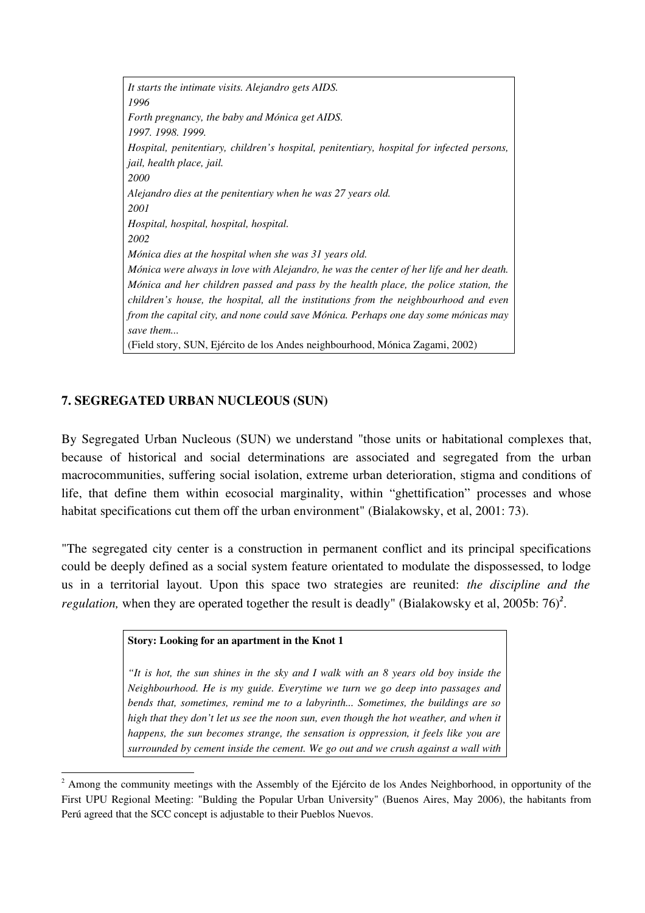*It starts the intimate visits. Alejandro gets AIDS. 1996 Forth pregnancy, the baby and Mónica get AIDS. 1997. 1998. 1999. Hospital, penitentiary, children's hospital, penitentiary, hospital for infected persons, jail, health place, jail. 2000 Alejandro dies at the penitentiary when he was 27 years old. 2001 Hospital, hospital, hospital, hospital. 2002 Mónica dies at the hospital when she was 31 years old. Mónica were always in love with Alejandro, he was the center of her life and her death. Mónica and her children passed and pass by the health place, the police station, the children's house, the hospital, all the institutions from the neighbourhood and even from the capital city, and none could save Mónica. Perhaps one day some mónicas may save them...* (Field story, SUN, Ejército de los Andes neighbourhood, Mónica Zagami, 2002)

# 7. SEGREGATED URBAN NUCLEOUS (SUN)

By Segregated Urban Nucleous (SUN) we understand "those units or habitational complexes that, because of historical and social determinations are associated and segregated from the urban macrocommunities, suffering social isolation, extreme urban deterioration, stigma and conditions of life, that define them within ecosocial marginality, within "ghettification" processes and whose habitat specifications cut them off the urban environment" (Bialakowsky, et al, 2001: 73).

"The segregated city center is a construction in permanent conflict and its principal specifications could be deeply defined as a social system feature orientated to modulate the dispossessed, to lodge us in a territorial layout. Upon this space two strategies are reunited: *the discipline and the regulation*, when they are operated together the result is deadly" (Bialakowsky et al, [2](#page-8-0)005b: 76)<sup>2</sup>.

#### Story: Looking for an apartment in the Knot 1

*"It is hot, the sun shines in the sky and I walk with an 8 years old boy inside the Neighbourhood. He is my guide. Everytime we turn we go deep into passages and bends that, sometimes, remind me to a labyrinth... Sometimes, the buildings are so high that they don't let us see the noon sun, even though the hot weather, and when it happens, the sun becomes strange, the sensation is oppression, it feels like you are surrounded by cement inside the cement. We go out and we crush against a wall with*

<span id="page-8-0"></span> $2^{2}$  Among the community meetings with the Assembly of the Ejército de los Andes Neighborhood, in opportunity of the First UPU Regional Meeting: "Bulding the Popular Urban University" (Buenos Aires, May 2006), the habitants from Perú agreed that the SCC concept is adjustable to their Pueblos Nuevos.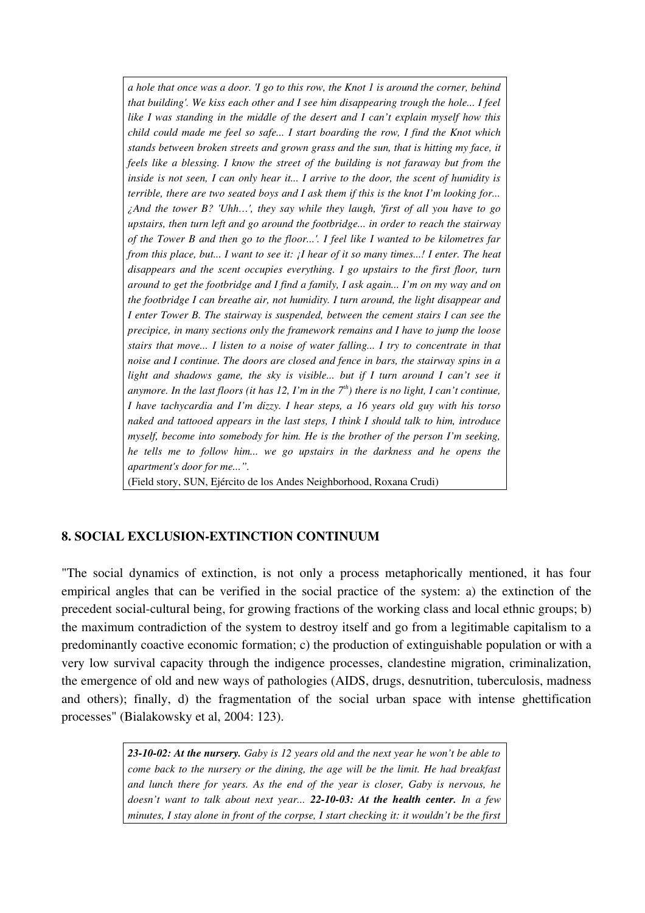*a hole that once was a door. 'I go to this row, the Knot 1 is around the corner, behind that building'. We kiss each other and I see him disappearing trough the hole... I feel like I was standing in the middle of the desert and I can't explain myself how this child could made me feel so safe... I start boarding the row, I find the Knot which stands between broken streets and grown grass and the sun, that is hitting my face, it feels like a blessing. I know the street of the building is not faraway but from the inside is not seen, I can only hear it... I arrive to the door, the scent of humidity is terrible, there are two seated boys and I ask them if this is the knot I'm looking for... ¿And the tower B? 'Uhh…', they say while they laugh, 'first of all you have to go upstairs, then turn left and go around the footbridge... in order to reach the stairway of the Tower B and then go to the floor...'. I feel like I wanted to be kilometres far from this place, but... I want to see it: ¡I hear of it so many times...! I enter. The heat disappears and the scent occupies everything. I go upstairs to the first floor, turn around to get the footbridge and I find a family, I ask again... I'm on my way and on the footbridge I can breathe air, not humidity. I turn around, the light disappear and I enter Tower B. The stairway is suspended, between the cement stairs I can see the precipice, in many sections only the framework remains and I have to jump the loose stairs that move... I listen to a noise of water falling... I try to concentrate in that noise and I continue. The doors are closed and fence in bars, the stairway spins in a light and shadows game, the sky is visible... but if I turn around I can't see it anymore. In the last floors (it has 12, I'm in the*  $7<sup>th</sup>$ *) there is no light, I can't continue, I have tachycardia and I'm dizzy. I hear steps, a 16 years old guy with his torso naked and tattooed appears in the last steps, I think I should talk to him, introduce myself, become into somebody for him. He is the brother of the person I'm seeking, he tells me to follow him... we go upstairs in the darkness and he opens the apartment's door for me...".* 

(Field story, SUN, Ejército de los Andes Neighborhood, Roxana Crudi)

# 8. SOCIAL EXCLUSION-EXTINCTION CONTINUUM

"The social dynamics of extinction, is not only a process metaphorically mentioned, it has four empirical angles that can be verified in the social practice of the system: a) the extinction of the precedent social-cultural being, for growing fractions of the working class and local ethnic groups; b) the maximum contradiction of the system to destroy itself and go from a legitimable capitalism to a predominantly coactive economic formation; c) the production of extinguishable population or with a very low survival capacity through the indigence processes, clandestine migration, criminalization, the emergence of old and new ways of pathologies (AIDS, drugs, desnutrition, tuberculosis, madness and others); finally, d) the fragmentation of the social urban space with intense ghettification processes" (Bialakowsky et al, 2004: 123).

> *231002: At the nursery. Gaby is 12 years old and the next year he won't be able to come back to the nursery or the dining, the age will be the limit. He had breakfast and lunch there for years. As the end of the year is closer, Gaby is nervous, he doesn't want to talk about next year...* **22-10-03: At the health center.** In a few *minutes, I stay alone in front of the corpse, I start checking it: it wouldn't be the first*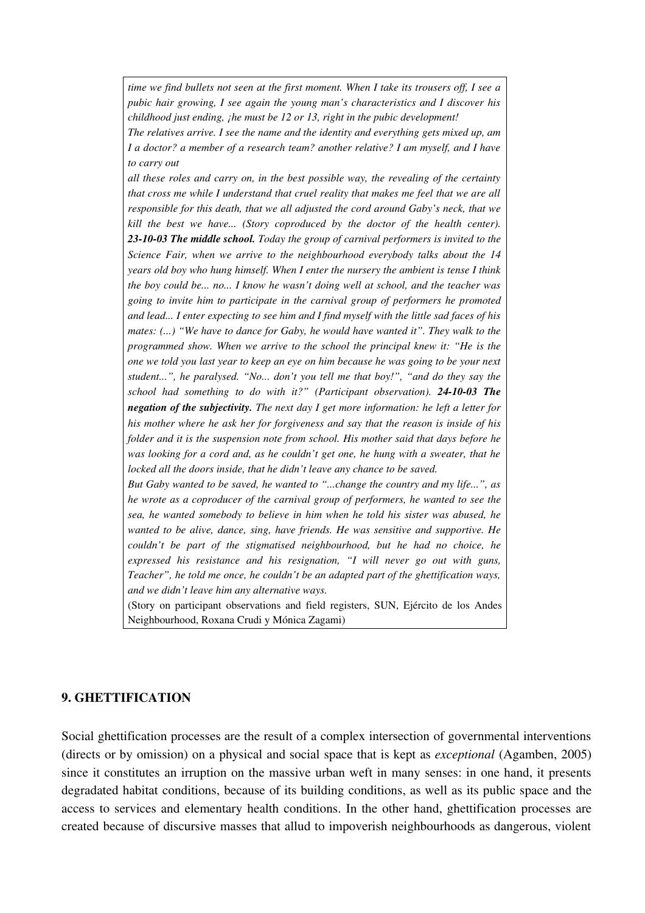*time we find bullets not seen at the first moment. When I take its trousers off, I see a pubic hair growing, I see again the young man's characteristics and I discover his childhood just ending, ¡he must be 12 or 13, right in the pubic development!*

*The relatives arrive. I see the name and the identity and everything gets mixed up, am I a doctor? a member of a research team? another relative? I am myself, and I have to carry out* 

*all these roles and carry on, in the best possible way, the revealing of the certainty that cross me while I understand that cruel reality that makes me feel that we are all responsible for this death, that we all adjusted the cord around Gaby's neck, that we kill the best we have... (Story coproduced by the doctor of the health center). 231003 The middle school. Today the group of carnival performers is invited to the Science Fair, when we arrive to the neighbourhood everybody talks about the 14 years old boy who hung himself. When I enter the nursery the ambient is tense I think the boy could be... no... I know he wasn't doing well at school, and the teacher was going to invite him to participate in the carnival group of performers he promoted and lead... I enter expecting to see him and I find myself with the little sad faces of his mates: (...) "We have to dance for Gaby, he would have wanted it". They walk to the programmed show. When we arrive to the school the principal knew it: "He is the one we told you last year to keep an eye on him because he was going to be your next student...", he paralysed. "No... don't you tell me that boy!", "and do they say the school had something to do with it?" (Participant observation).* **24-10-03 The** *negation of the subjectivity. The next day I get more information: he left a letter for his mother where he ask her for forgiveness and say that the reason is inside of his folder and it is the suspension note from school. His mother said that days before he was looking for a cord and, as he couldn't get one, he hung with a sweater, that he locked all the doors inside, that he didn't leave any chance to be saved.*

*But Gaby wanted to be saved, he wanted to "...change the country and my life...", as he wrote as a coproducer of the carnival group of performers, he wanted to see the sea, he wanted somebody to believe in him when he told his sister was abused, he wanted to be alive, dance, sing, have friends. He was sensitive and supportive. He couldn't be part of the stigmatised neighbourhood, but he had no choice, he expressed his resistance and his resignation, "I will never go out with guns, Teacher", he told me once, he couldn't be an adapted part of the ghettification ways, and we didn't leave him any alternative ways.* 

(Story on participant observations and field registers, SUN, Ejército de los Andes Neighbourhood, Roxana Crudi y Mónica Zagami)

#### 9. GHETTIFICATION

Social ghettification processes are the result of a complex intersection of governmental interventions (directs or by omission) on a physical and social space that is kept as *exceptional* (Agamben, 2005) since it constitutes an irruption on the massive urban weft in many senses: in one hand, it presents degradated habitat conditions, because of its building conditions, as well as its public space and the access to services and elementary health conditions. In the other hand, ghettification processes are created because of discursive masses that allud to impoverish neighbourhoods as dangerous, violent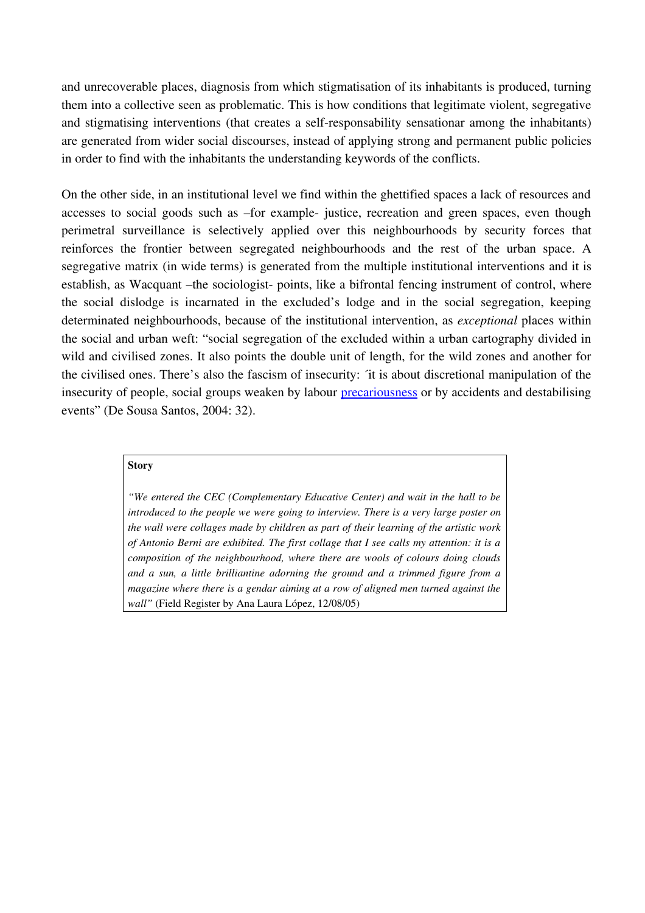and unrecoverable places, diagnosis from which stigmatisation of its inhabitants is produced, turning them into a collective seen as problematic. This is how conditions that legitimate violent, segregative and stigmatising interventions (that creates a self-responsability sensationar among the inhabitants) are generated from wider social discourses, instead of applying strong and permanent public policies in order to find with the inhabitants the understanding keywords of the conflicts.

On the other side, in an institutional level we find within the ghettified spaces a lack of resources and accesses to social goods such as –for example- justice, recreation and green spaces, even though perimetral surveillance is selectively applied over this neighbourhoods by security forces that reinforces the frontier between segregated neighbourhoods and the rest of the urban space. A segregative matrix (in wide terms) is generated from the multiple institutional interventions and it is establish, as Wacquant –the sociologist- points, like a bifrontal fencing instrument of control, where the social dislodge is incarnated in the excluded's lodge and in the social segregation, keeping determinated neighbourhoods, because of the institutional intervention, as *exceptional* places within the social and urban weft: "social segregation of the excluded within a urban cartography divided in wild and civilised zones. It also points the double unit of length, for the wild zones and another for the civilised ones. There's also the fascism of insecurity: ´it is about discretional manipulation of the insecurity of people, social groups weaken by labour [precariousness](http://www.diccionarios.com/consultas.php) or by accidents and destabilising events" (De Sousa Santos, 2004: 32).

#### **Story**

*"We entered the CEC (Complementary Educative Center) and wait in the hall to be introduced to the people we were going to interview. There is a very large poster on the wall were collages made by children as part of their learning of the artistic work of Antonio Berni are exhibited. The first collage that I see calls my attention: it is a composition of the neighbourhood, where there are wools of colours doing clouds and a sun, a little brilliantine adorning the ground and a trimmed figure from a magazine where there is a gendar aiming at a row of aligned men turned against the wall"* (Field Register by Ana Laura López, 12/08/05)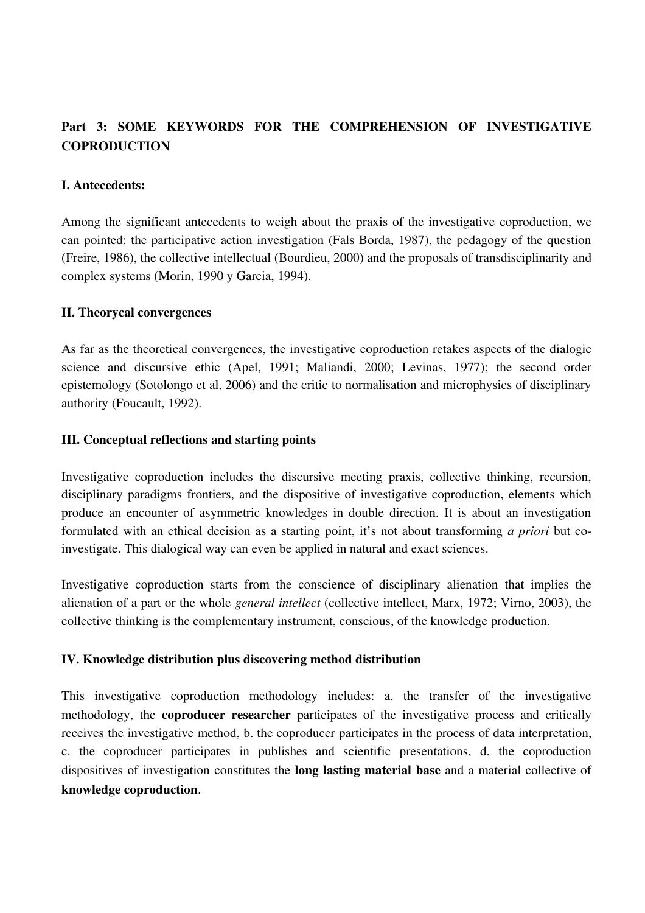# Part 3: SOME KEYWORDS FOR THE COMPREHENSION OF INVESTIGATIVE **COPRODUCTION**

#### I. Antecedents:

Among the significant antecedents to weigh about the praxis of the investigative coproduction, we can pointed: the participative action investigation (Fals Borda, 1987), the pedagogy of the question (Freire, 1986), the collective intellectual (Bourdieu, 2000) and the proposals of transdisciplinarity and complex systems (Morin, 1990 y Garcia, 1994).

# II. Theorycal convergences

As far as the theoretical convergences, the investigative coproduction retakes aspects of the dialogic science and discursive ethic (Apel, 1991; Maliandi, 2000; Levinas, 1977); the second order epistemology (Sotolongo et al, 2006) and the critic to normalisation and microphysics of disciplinary authority (Foucault, 1992).

# III. Conceptual reflections and starting points

Investigative coproduction includes the discursive meeting praxis, collective thinking, recursion, disciplinary paradigms frontiers, and the dispositive of investigative coproduction, elements which produce an encounter of asymmetric knowledges in double direction. It is about an investigation formulated with an ethical decision as a starting point, it's not about transforming *a priori* but coinvestigate. This dialogical way can even be applied in natural and exact sciences.

Investigative coproduction starts from the conscience of disciplinary alienation that implies the alienation of a part or the whole *general intellect* (collective intellect, Marx, 1972; Virno, 2003), the collective thinking is the complementary instrument, conscious, of the knowledge production.

# IV. Knowledge distribution plus discovering method distribution

This investigative coproduction methodology includes: a. the transfer of the investigative methodology, the coproducer researcher participates of the investigative process and critically receives the investigative method, b. the coproducer participates in the process of data interpretation, c. the coproducer participates in publishes and scientific presentations, d. the coproduction dispositives of investigation constitutes the long lasting material base and a material collective of knowledge coproduction.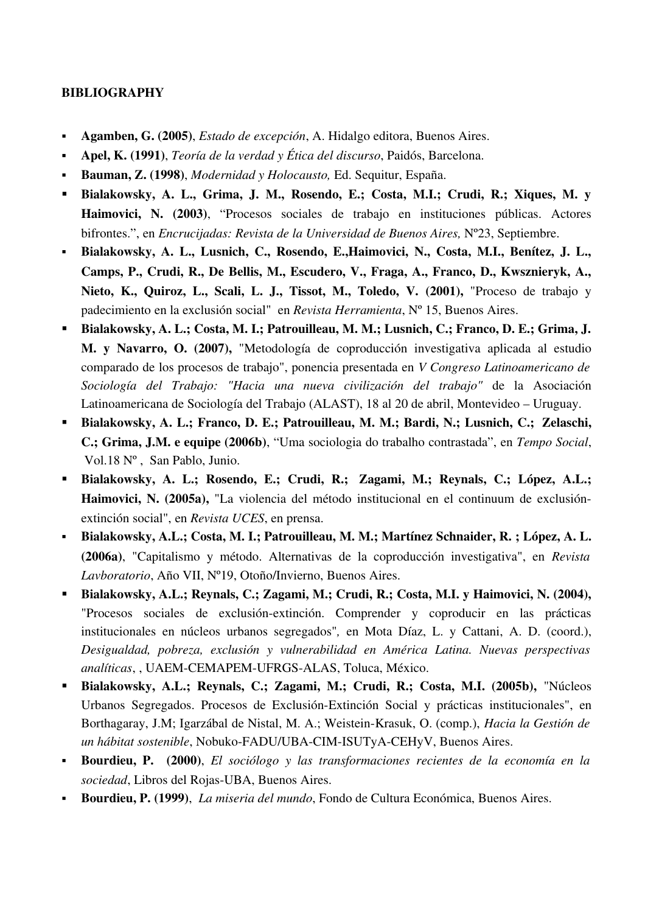# BIBLIOGRAPHY

- Agamben, G. (2005), *Estado de excepción*, A. Hidalgo editora, Buenos Aires.
- Apel, K. (1991), *Teoría de la verdad y Ética del discurso*, Paidós, Barcelona.
- Bauman, Z. (1998), *Modernidad y Holocausto,* Ed. Sequitur, España.
- Bialakowsky, A. L., Grima, J. M., Rosendo, E.; Costa, M.I.; Crudi, R.; Xiques, M. y Haimovici, N. (2003), "Procesos sociales de trabajo en instituciones públicas. Actores bifrontes.", en *Encrucijadas: Revista de la Universidad de Buenos Aires,* Nº23, Septiembre.
- Bialakowsky, A. L., Lusnich, C., Rosendo, E.,Haimovici, N., Costa, M.I., Benítez, J. L., Camps, P., Crudi, R., De Bellis, M., Escudero, V., Fraga, A., Franco, D., Kwsznieryk, A., Nieto, K., Quiroz, L., Scali, L. J., Tissot, M., Toledo, V. (2001), "Proceso de trabajo y padecimiento en la exclusión social" en *Revista Herramienta*, Nº 15, Buenos Aires.
- Bialakowsky, A. L.; Costa, M. I.; Patrouilleau, M. M.; Lusnich, C.; Franco, D. E.; Grima, J. M. y Navarro, O. (2007), "Metodología de coproducción investigativa aplicada al estudio comparado de los procesos de trabajo", ponencia presentada en *V Congreso Latinoamericano de Sociología del Trabajo: "Hacia una nueva civilización del trabajo"* de la Asociación Latinoamericana de Sociología del Trabajo (ALAST), 18 al 20 de abril, Montevideo – Uruguay.
- Bialakowsky, A. L.; Franco, D. E.; Patrouilleau, M. M.; Bardi, N.; Lusnich, C.; Zelaschi, C.; Grima, J.M. e equipe (2006b), "Uma sociologia do trabalho contrastada", en *Tempo Social*, Vol.18 Nº , San Pablo, Junio.
- Bialakowsky, A. L.; Rosendo, E.; Crudi, R.; Zagami, M.; Reynals, C.; López, A.L.; Haimovici, N. (2005a), "La violencia del método institucional en el continuum de exclusiónextinción social", en *Revista UCES*, en prensa.
- Bialakowsky, A.L.; Costa, M. I.; Patrouilleau, M. M.; Martínez Schnaider, R. ; López, A. L. (2006a), "Capitalismo y método. Alternativas de la coproducción investigativa", en *Revista Lavboratorio*, Año VII, Nº19, Otoño/Invierno, Buenos Aires.
- Bialakowsky, A.L.; Reynals, C.; Zagami, M.; Crudi, R.; Costa, M.I. y Haimovici, N. (2004), "Procesos sociales de exclusión-extinción. Comprender y coproducir en las prácticas institucionales en núcleos urbanos segregados"*,* en Mota Díaz, L. y Cattani, A. D. (coord.), *Desigualdad, pobreza, exclusión y vulnerabilidad en América Latina. Nuevas perspectivas* analíticas, , UAEM-CEMAPEM-UFRGS-ALAS, Toluca, México.
- Bialakowsky, A.L.; Reynals, C.; Zagami, M.; Crudi, R.; Costa, M.I. (2005b), "Núcleos Urbanos Segregados. Procesos de Exclusión-Extinción Social y prácticas institucionales", en Borthagaray, J.M; Igarzábal de Nistal, M. A.; Weistein-Krasuk, O. (comp.), *Hacia la Gestión de un hábitat sostenible*, Nobuko-FADU/UBA-CIM-ISUTyA-CEHyV, Buenos Aires.
- Bourdieu, P. (2000), *El sociólogo y las transformaciones recientes de la economía en la sociedad*, Libros del Rojas-UBA, Buenos Aires.
- Bourdieu, P. (1999), *La miseria del mundo*, Fondo de Cultura Económica, Buenos Aires.